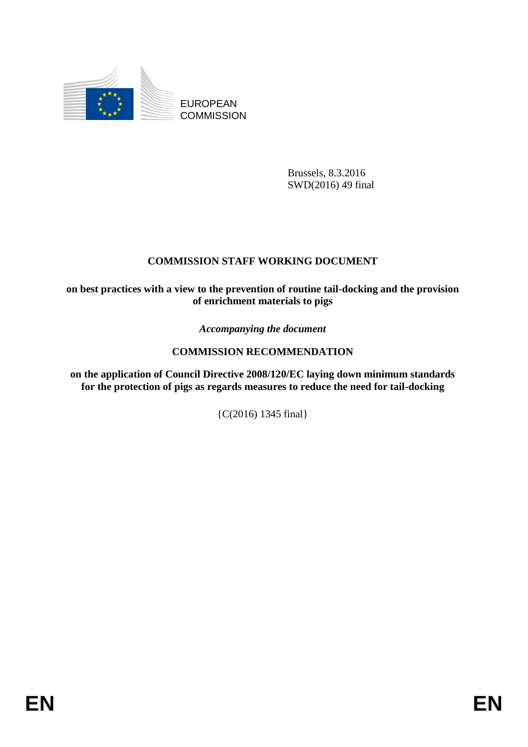

EUROPEAN **COMMISSION** 

> Brussels, 8.3.2016 SWD(2016) 49 final

# **COMMISSION STAFF WORKING DOCUMENT**

**on best practices with a view to the prevention of routine tail-docking and the provision of enrichment materials to pigs** 

*Accompanying the document*

## **COMMISSION RECOMMENDATION**

**on the application of Council Directive 2008/120/EC laying down minimum standards for the protection of pigs as regards measures to reduce the need for tail-docking**

{C(2016) 1345 final}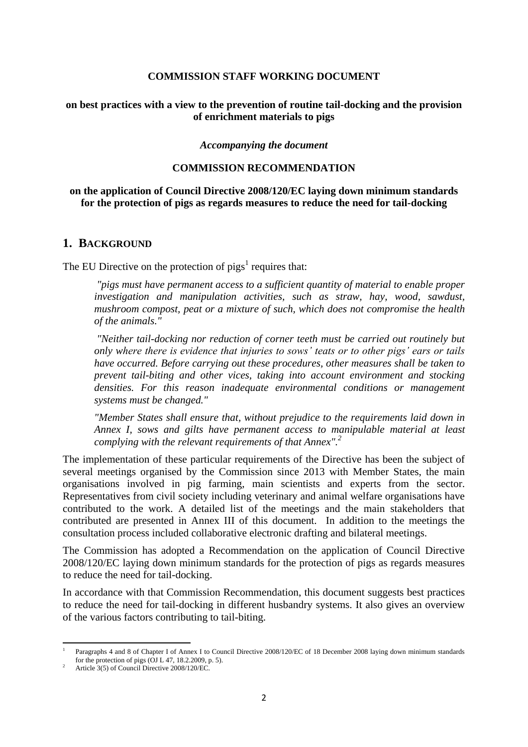#### **COMMISSION STAFF WORKING DOCUMENT**

#### **on best practices with a view to the prevention of routine tail-docking and the provision of enrichment materials to pigs**

#### *Accompanying the document*

#### **COMMISSION RECOMMENDATION**

#### **on the application of Council Directive 2008/120/EC laying down minimum standards for the protection of pigs as regards measures to reduce the need for tail-docking**

#### **1. BACKGROUND**

The EU Directive on the protection of  $pigs<sup>1</sup>$  requires that:

*"pigs must have permanent access to a sufficient quantity of material to enable proper investigation and manipulation activities, such as straw, hay, wood, sawdust, mushroom compost, peat or a mixture of such, which does not compromise the health of the animals."* 

*"Neither tail-docking nor reduction of corner teeth must be carried out routinely but only where there is evidence that injuries to sows' teats or to other pigs' ears or tails have occurred. Before carrying out these procedures, other measures shall be taken to prevent tail-biting and other vices, taking into account environment and stocking densities. For this reason inadequate environmental conditions or management systems must be changed."*

*"Member States shall ensure that, without prejudice to the requirements laid down in Annex I, sows and gilts have permanent access to manipulable material at least complying with the relevant requirements of that Annex".<sup>2</sup>*

The implementation of these particular requirements of the Directive has been the subject of several meetings organised by the Commission since 2013 with Member States, the main organisations involved in pig farming, main scientists and experts from the sector. Representatives from civil society including veterinary and animal welfare organisations have contributed to the work. A detailed list of the meetings and the main stakeholders that contributed are presented in Annex III of this document. In addition to the meetings the consultation process included collaborative electronic drafting and bilateral meetings.

The Commission has adopted a Recommendation on the application of Council Directive 2008/120/EC laying down minimum standards for the protection of pigs as regards measures to reduce the need for tail-docking.

In accordance with that Commission Recommendation, this document suggests best practices to reduce the need for tail-docking in different husbandry systems. It also gives an overview of the various factors contributing to tail-biting.

**.** 

<sup>1</sup> Paragraphs 4 and 8 of Chapter I of Annex I to Council Directive 2008/120/EC of 18 December 2008 laying down minimum standards for the protection of pigs (OJ L 47, 18.2.2009, p. 5).

Article 3(5) of Council Directive 2008/120/EC.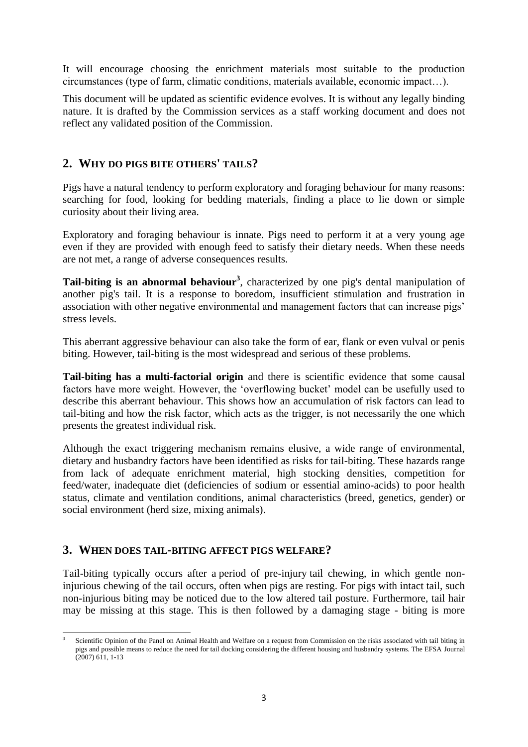It will encourage choosing the enrichment materials most suitable to the production circumstances (type of farm, climatic conditions, materials available, economic impact…).

This document will be updated as scientific evidence evolves. It is without any legally binding nature. It is drafted by the Commission services as a staff working document and does not reflect any validated position of the Commission.

## **2. WHY DO PIGS BITE OTHERS' TAILS?**

Pigs have a natural tendency to perform exploratory and foraging behaviour for many reasons: searching for food, looking for bedding materials, finding a place to lie down or simple curiosity about their living area.

Exploratory and foraging behaviour is innate. Pigs need to perform it at a very young age even if they are provided with enough feed to satisfy their dietary needs. When these needs are not met, a range of adverse consequences results.

**Tail-biting is an abnormal behaviour<sup>3</sup>** , characterized by one pig's dental manipulation of another pig's tail. It is a response to boredom, insufficient stimulation and frustration in association with other negative environmental and management factors that can increase pigs' stress levels.

This aberrant aggressive behaviour can also take the form of ear, flank or even vulval or penis biting. However, tail-biting is the most widespread and serious of these problems.

**Tail-biting has a multi-factorial origin** and there is scientific evidence that some causal factors have more weight. However, the 'overflowing bucket' model can be usefully used to describe this aberrant behaviour. This shows how an accumulation of risk factors can lead to tail-biting and how the risk factor, which acts as the trigger, is not necessarily the one which presents the greatest individual risk.

Although the exact triggering mechanism remains elusive, a wide range of environmental, dietary and husbandry factors have been identified as risks for tail-biting. These hazards range from lack of adequate enrichment material, high stocking densities, competition for feed/water, inadequate diet (deficiencies of sodium or essential amino-acids) to poor health status, climate and ventilation conditions, animal characteristics (breed, genetics, gender) or social environment (herd size, mixing animals).

## **3. WHEN DOES TAIL-BITING AFFECT PIGS WELFARE?**

Tail-biting typically occurs after a period of pre-injury tail chewing, in which gentle noninjurious chewing of the tail occurs, often when pigs are resting. For pigs with intact tail, such non-injurious biting may be noticed due to the low altered tail posture. Furthermore, tail hair may be missing at this stage. This is then followed by a damaging stage - biting is more

**<sup>.</sup>** 3 Scientific Opinion of the Panel on Animal Health and Welfare on a request from Commission on the risks associated with tail biting in pigs and possible means to reduce the need for tail docking considering the different housing and husbandry systems. The EFSA Journal  $(2007)$  611, 1-13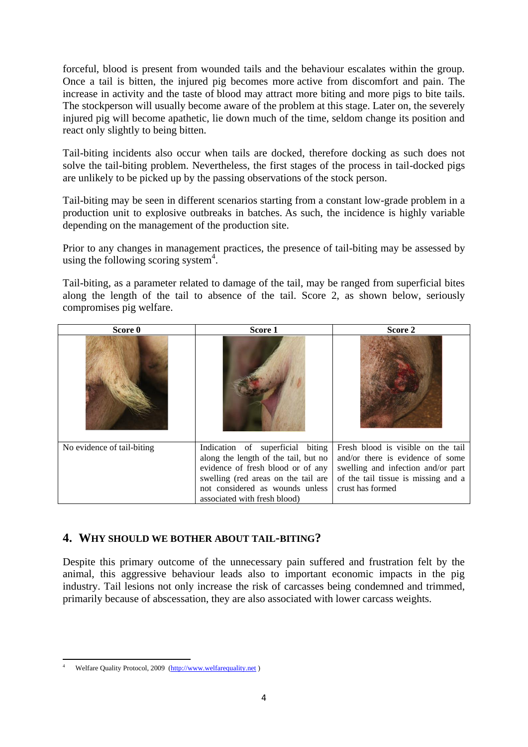forceful, blood is present from wounded tails and the behaviour escalates within the group. Once a tail is bitten, the injured pig becomes more active from discomfort and pain. The increase in activity and the taste of blood may attract more biting and more pigs to bite tails. The stockperson will usually become aware of the problem at this stage. Later on, the severely injured pig will become apathetic, lie down much of the time, seldom change its position and react only slightly to being bitten.

Tail-biting incidents also occur when tails are docked, therefore docking as such does not solve the tail-biting problem. Nevertheless, the first stages of the process in tail-docked pigs are unlikely to be picked up by the passing observations of the stock person.

Tail-biting may be seen in different scenarios starting from a constant low-grade problem in a production unit to explosive outbreaks in batches. As such, the incidence is highly variable depending on the management of the production site.

Prior to any changes in management practices, the presence of tail-biting may be assessed by using the following scoring system<sup>4</sup>.

Tail-biting, as a parameter related to damage of the tail, may be ranged from superficial bites along the length of the tail to absence of the tail. Score 2, as shown below, seriously compromises pig welfare.

| Score 0                    | Score 1                                                                                                                                                                                                                 | Score 2                                                                                                                                                                 |
|----------------------------|-------------------------------------------------------------------------------------------------------------------------------------------------------------------------------------------------------------------------|-------------------------------------------------------------------------------------------------------------------------------------------------------------------------|
|                            |                                                                                                                                                                                                                         |                                                                                                                                                                         |
| No evidence of tail-biting | Indication of superficial biting<br>along the length of the tail, but no<br>evidence of fresh blood or of any<br>swelling (red areas on the tail are<br>not considered as wounds unless<br>associated with fresh blood) | Fresh blood is visible on the tail<br>and/or there is evidence of some<br>swelling and infection and/or part<br>of the tail tissue is missing and a<br>crust has formed |

## **4. WHY SHOULD WE BOTHER ABOUT TAIL-BITING?**

Despite this primary outcome of the unnecessary pain suffered and frustration felt by the animal, this aggressive behaviour leads also to important economic impacts in the pig industry. Tail lesions not only increase the risk of carcasses being condemned and trimmed, primarily because of abscessation, they are also associated with lower carcass weights.

<sup>1</sup> <sup>4</sup> Welfare Quality Protocol, 2009 [\(http://www.welfarequality.net](http://www.welfarequality.net/) )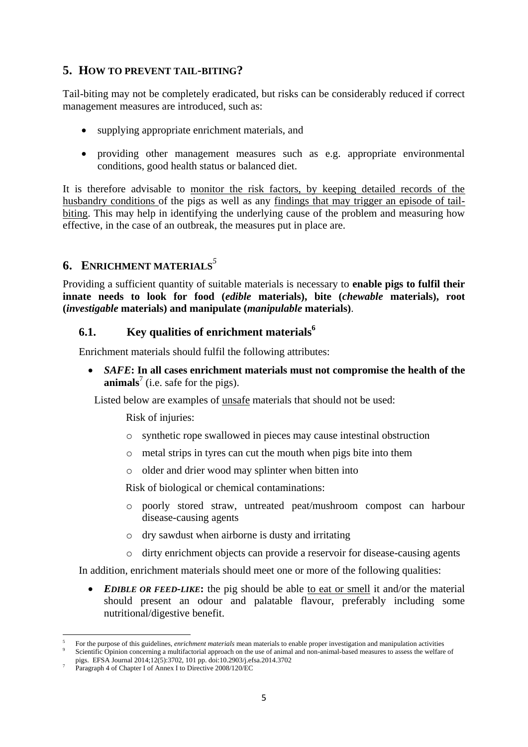## **5. HOW TO PREVENT TAIL-BITING?**

Tail-biting may not be completely eradicated, but risks can be considerably reduced if correct management measures are introduced, such as:

- supplying appropriate enrichment materials, and
- providing other management measures such as e.g. appropriate environmental conditions, good health status or balanced diet.

It is therefore advisable to monitor the risk factors, by keeping detailed records of the husbandry conditions of the pigs as well as any findings that may trigger an episode of tailbiting. This may help in identifying the underlying cause of the problem and measuring how effective, in the case of an outbreak, the measures put in place are.

# **6. ENRICHMENT MATERIALS***<sup>5</sup>*

Providing a sufficient quantity of suitable materials is necessary to **enable pigs to fulfil their innate needs to look for food (***edible* **materials), bite (***chewable* **materials), root (***investigable* **materials) and manipulate (***manipulable* **materials)**.

## **6.1. Key qualities of enrichment materials<sup>6</sup>**

Enrichment materials should fulfil the following attributes:

 *SAFE***: In all cases enrichment materials must not compromise the health of the**   $\text{animals}^7$  (i.e. safe for the pigs).

Listed below are examples of unsafe materials that should not be used:

Risk of injuries:

- o synthetic rope swallowed in pieces may cause intestinal obstruction
- o metal strips in tyres can cut the mouth when pigs bite into them
- o older and drier wood may splinter when bitten into

Risk of biological or chemical contaminations:

- o poorly stored straw, untreated peat/mushroom compost can harbour disease-causing agents
- o dry sawdust when airborne is dusty and irritating
- o dirty enrichment objects can provide a reservoir for disease-causing agents

In addition, enrichment materials should meet one or more of the following qualities:

 *EDIBLE OR FEED-LIKE***:** the pig should be able to eat or smell it and/or the material should present an odour and palatable flavour, preferably including some nutritional/digestive benefit.

**<sup>.</sup>** 5 For the purpose of this guidelines, *enrichment materials* mean materials to enable proper investigation and manipulation activities

<sup>9</sup> Scientific Opinion concerning a multifactorial approach on the use of animal and non-animal-based measures to assess the welfare of

pigs. EFSA Journal 2014;12(5):3702, 101 pp. doi:10.2903/j.efsa.2014.3702

<sup>7</sup> Paragraph 4 of Chapter I of Annex I to Directive 2008/120/EC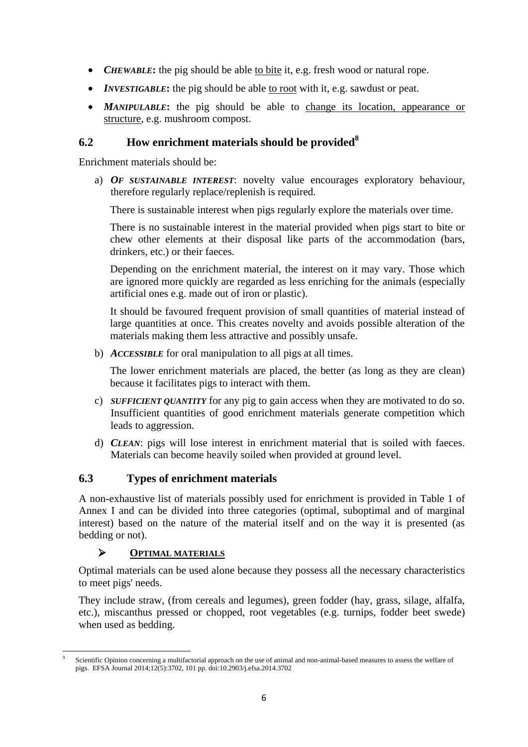- *CHEWABLE*: the pig should be able to bite it, e.g. fresh wood or natural rope.
- *INVESTIGABLE***:** the pig should be able to root with it, e.g. sawdust or peat.
- *MANIPULABLE***:** the pig should be able to change its location, appearance or structure, e.g. mushroom compost.

## **6.2 How enrichment materials should be provided<sup>8</sup>**

Enrichment materials should be:

a) *OF SUSTAINABLE INTEREST*: novelty value encourages exploratory behaviour, therefore regularly replace/replenish is required.

There is sustainable interest when pigs regularly explore the materials over time.

There is no sustainable interest in the material provided when pigs start to bite or chew other elements at their disposal like parts of the accommodation (bars, drinkers, etc.) or their faeces.

Depending on the enrichment material, the interest on it may vary. Those which are ignored more quickly are regarded as less enriching for the animals (especially artificial ones e.g. made out of iron or plastic).

It should be favoured frequent provision of small quantities of material instead of large quantities at once. This creates novelty and avoids possible alteration of the materials making them less attractive and possibly unsafe.

b) *ACCESSIBLE* for oral manipulation to all pigs at all times.

The lower enrichment materials are placed, the better (as long as they are clean) because it facilitates pigs to interact with them.

- c) *SUFFICIENT QUANTITY* for any pig to gain access when they are motivated to do so. Insufficient quantities of good enrichment materials generate competition which leads to aggression.
- d) *CLEAN*: pigs will lose interest in enrichment material that is soiled with faeces. Materials can become heavily soiled when provided at ground level.

# **6.3 Types of enrichment materials**

A non-exhaustive list of materials possibly used for enrichment is provided in Table 1 of Annex I and can be divided into three categories (optimal, suboptimal and of marginal interest) based on the nature of the material itself and on the way it is presented (as bedding or not).

## **OPTIMAL MATERIALS**

Optimal materials can be used alone because they possess all the necessary characteristics to meet pigs' needs.

They include straw, (from cereals and legumes), green fodder (hay, grass, silage, alfalfa, etc.), miscanthus pressed or chopped, root vegetables (e.g. turnips, fodder beet swede) when used as bedding.

**<sup>.</sup>** 9 Scientific Opinion concerning a multifactorial approach on the use of animal and non-animal-based measures to assess the welfare of pigs. EFSA Journal 2014;12(5):3702, 101 pp. doi:10.2903/j.efsa.2014.3702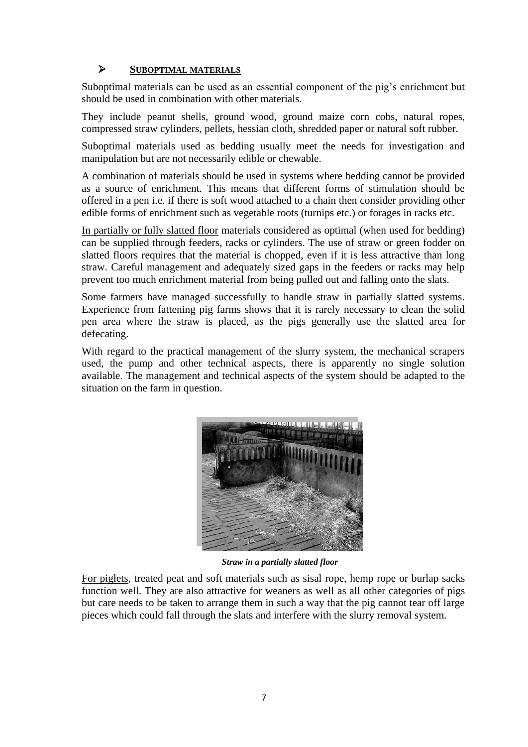## **SUBOPTIMAL MATERIALS**

Suboptimal materials can be used as an essential component of the pig's enrichment but should be used in combination with other materials.

They include peanut shells, ground wood, ground maize corn cobs, natural ropes, compressed straw cylinders, pellets, hessian cloth, shredded paper or natural soft rubber.

Suboptimal materials used as bedding usually meet the needs for investigation and manipulation but are not necessarily edible or chewable.

A combination of materials should be used in systems where bedding cannot be provided as a source of enrichment. This means that different forms of stimulation should be offered in a pen i.e. if there is soft wood attached to a chain then consider providing other edible forms of enrichment such as vegetable roots (turnips etc.) or forages in racks etc.

In partially or fully slatted floor materials considered as optimal (when used for bedding) can be supplied through feeders, racks or cylinders. The use of straw or green fodder on slatted floors requires that the material is chopped, even if it is less attractive than long straw. Careful management and adequately sized gaps in the feeders or racks may help prevent too much enrichment material from being pulled out and falling onto the slats.

Some farmers have managed successfully to handle straw in partially slatted systems. Experience from fattening pig farms shows that it is rarely necessary to clean the solid pen area where the straw is placed, as the pigs generally use the slatted area for defecating.

With regard to the practical management of the slurry system, the mechanical scrapers used, the pump and other technical aspects, there is apparently no single solution available. The management and technical aspects of the system should be adapted to the situation on the farm in question.



*Straw in a partially slatted floor*

For piglets, treated peat and soft materials such as sisal rope, hemp rope or burlap sacks function well. They are also attractive for weaners as well as all other categories of pigs but care needs to be taken to arrange them in such a way that the pig cannot tear off large pieces which could fall through the slats and interfere with the slurry removal system.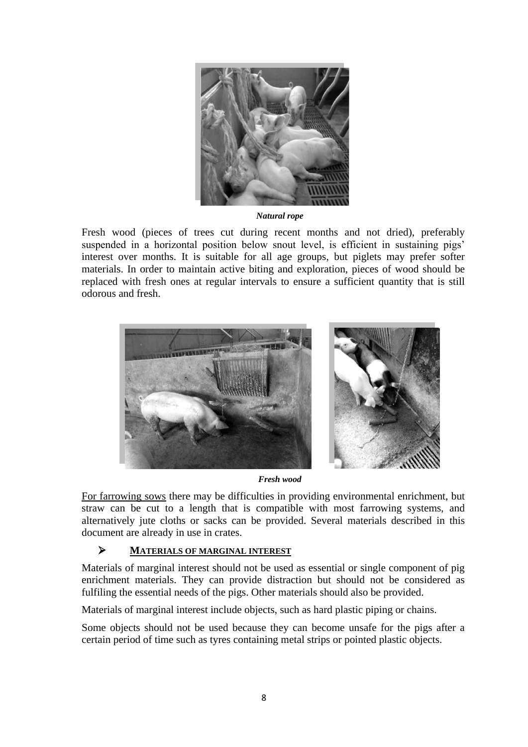

*Natural rope*

Fresh wood (pieces of trees cut during recent months and not dried), preferably suspended in a horizontal position below snout level, is efficient in sustaining pigs' interest over months. It is suitable for all age groups, but piglets may prefer softer materials. In order to maintain active biting and exploration, pieces of wood should be replaced with fresh ones at regular intervals to ensure a sufficient quantity that is still odorous and fresh.



*Fresh wood*

For farrowing sows there may be difficulties in providing environmental enrichment, but straw can be cut to a length that is compatible with most farrowing systems, and alternatively jute cloths or sacks can be provided. Several materials described in this document are already in use in crates.

### **MATERIALS OF MARGINAL INTEREST**

Materials of marginal interest should not be used as essential or single component of pig enrichment materials. They can provide distraction but should not be considered as fulfiling the essential needs of the pigs. Other materials should also be provided.

Materials of marginal interest include objects, such as hard plastic piping or chains.

Some objects should not be used because they can become unsafe for the pigs after a certain period of time such as tyres containing metal strips or pointed plastic objects.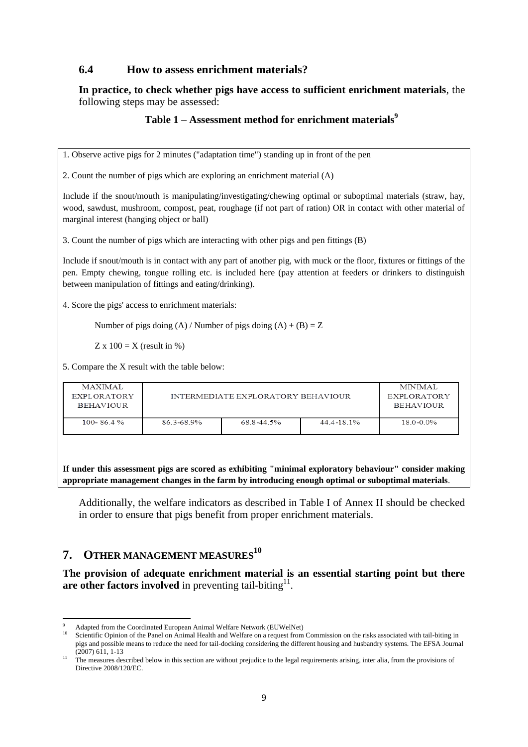### **6.4 How to assess enrichment materials?**

**In practice, to check whether pigs have access to sufficient enrichment materials**, the following steps may be assessed:

### **Table 1 – Assessment method for enrichment materials<sup>9</sup>**

1. Observe active pigs for 2 minutes ("adaptation time") standing up in front of the pen

2. Count the number of pigs which are exploring an enrichment material (A)

Include if the snout/mouth is manipulating/investigating/chewing optimal or suboptimal materials (straw, hay, wood, sawdust, mushroom, compost, peat, roughage (if not part of ration) OR in contact with other material of marginal interest (hanging object or ball)

3. Count the number of pigs which are interacting with other pigs and pen fittings (B)

Include if snout/mouth is in contact with any part of another pig, with muck or the floor, fixtures or fittings of the pen. Empty chewing, tongue rolling etc. is included here (pay attention at feeders or drinkers to distinguish between manipulation of fittings and eating/drinking).

4. Score the pigs' access to enrichment materials:

Number of pigs doing  $(A)$  / Number of pigs doing  $(A) + (B) = Z$ 

 $Z \times 100 = X$  (result in %)

5. Compare the X result with the table below:

| <b>MAXIMAL</b><br>EXPLORATORY<br><b>BEHAVIOUR</b> | INTERMEDIATE EXPLORATORY BEHAVIOUR |                 | <b>MINIMAL</b><br>EXPLORATORY<br><b>BEHAVIOUR</b> |                |
|---------------------------------------------------|------------------------------------|-----------------|---------------------------------------------------|----------------|
| 100-86.4 $\%$                                     | 86.3-68.9%                         | $68.8 - 44.5\%$ | $44.4 - 18.1\%$                                   | $18.0 - 0.0\%$ |

**If under this assessment pigs are scored as exhibiting "minimal exploratory behaviour" consider making appropriate management changes in the farm by introducing enough optimal or suboptimal materials**.

Additionally, the welfare indicators as described in Table I of Annex II should be checked in order to ensure that pigs benefit from proper enrichment materials.

## **7. OTHER MANAGEMENT MEASURES<sup>10</sup>**

**The provision of adequate enrichment material is an essential starting point but there**  are other factors involved in preventing tail-biting<sup>11</sup>.

**<sup>.</sup>** <sup>9</sup> Adapted from the Coordinated European Animal Welfare Network (EUWelNet)

Scientific Opinion of the Panel on Animal Health and Welfare on a request from Commission on the risks associated with tail-biting in pigs and possible means to reduce the need for tail-docking considering the different housing and husbandry systems. The EFSA Journal (2007) 611, 1-13

<sup>11</sup> The measures described below in this section are without prejudice to the legal requirements arising, inter alia, from the provisions of Directive 2008/120/EC.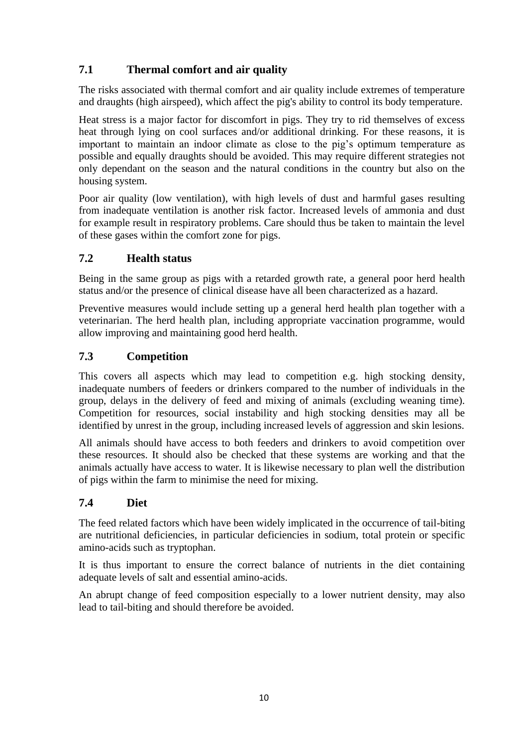# **7.1 Thermal comfort and air quality**

The risks associated with thermal comfort and air quality include extremes of temperature and draughts (high airspeed), which affect the pig's ability to control its body temperature.

Heat stress is a major factor for discomfort in pigs. They try to rid themselves of excess heat through lying on cool surfaces and/or additional drinking. For these reasons, it is important to maintain an indoor climate as close to the pig's optimum temperature as possible and equally draughts should be avoided. This may require different strategies not only dependant on the season and the natural conditions in the country but also on the housing system.

Poor air quality (low ventilation), with high levels of dust and harmful gases resulting from inadequate ventilation is another risk factor. Increased levels of ammonia and dust for example result in respiratory problems. Care should thus be taken to maintain the level of these gases within the comfort zone for pigs.

# **7.2 Health status**

Being in the same group as pigs with a retarded growth rate, a general poor herd health status and/or the presence of clinical disease have all been characterized as a hazard.

Preventive measures would include setting up a general herd health plan together with a veterinarian. The herd health plan, including appropriate vaccination programme, would allow improving and maintaining good herd health.

# **7.3 Competition**

This covers all aspects which may lead to competition e.g. high stocking density, inadequate numbers of feeders or drinkers compared to the number of individuals in the group, delays in the delivery of feed and mixing of animals (excluding weaning time). Competition for resources, social instability and high stocking densities may all be identified by unrest in the group, including increased levels of aggression and skin lesions.

All animals should have access to both feeders and drinkers to avoid competition over these resources. It should also be checked that these systems are working and that the animals actually have access to water. It is likewise necessary to plan well the distribution of pigs within the farm to minimise the need for mixing.

## **7.4 Diet**

The feed related factors which have been widely implicated in the occurrence of tail-biting are nutritional deficiencies, in particular deficiencies in sodium, total protein or specific amino-acids such as tryptophan.

It is thus important to ensure the correct balance of nutrients in the diet containing adequate levels of salt and essential amino-acids.

An abrupt change of feed composition especially to a lower nutrient density, may also lead to tail-biting and should therefore be avoided.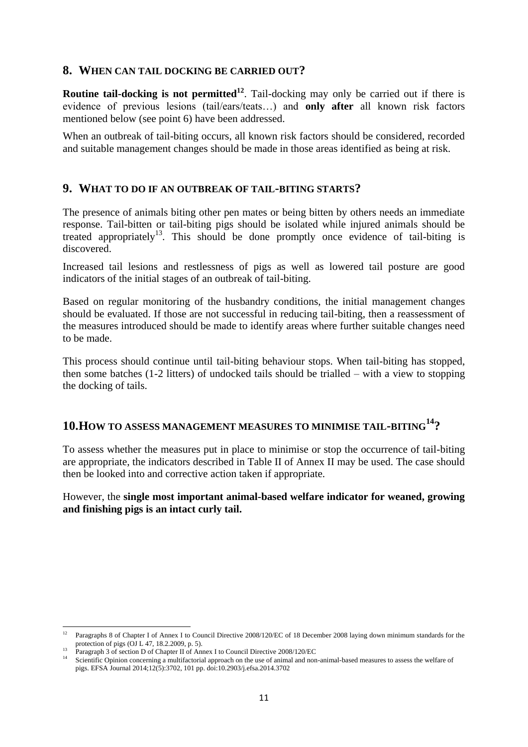### **8. WHEN CAN TAIL DOCKING BE CARRIED OUT?**

**Routine tail-docking is not permitted<sup>12</sup>**. Tail-docking may only be carried out if there is evidence of previous lesions (tail/ears/teats…) and **only after** all known risk factors mentioned below (see point 6) have been addressed.

When an outbreak of tail-biting occurs, all known risk factors should be considered, recorded and suitable management changes should be made in those areas identified as being at risk.

#### **9. WHAT TO DO IF AN OUTBREAK OF TAIL-BITING STARTS?**

The presence of animals biting other pen mates or being bitten by others needs an immediate response. Tail-bitten or tail-biting pigs should be isolated while injured animals should be treated appropriately<sup>13</sup>. This should be done promptly once evidence of tail-biting is discovered.

Increased tail lesions and restlessness of pigs as well as lowered tail posture are good indicators of the initial stages of an outbreak of tail-biting.

Based on regular monitoring of the husbandry conditions, the initial management changes should be evaluated. If those are not successful in reducing tail-biting, then a reassessment of the measures introduced should be made to identify areas where further suitable changes need to be made.

This process should continue until tail-biting behaviour stops. When tail-biting has stopped, then some batches (1-2 litters) of undocked tails should be trialled – with a view to stopping the docking of tails.

# **10.HOW TO ASSESS MANAGEMENT MEASURES TO MINIMISE TAIL-BITING<sup>14</sup>?**

To assess whether the measures put in place to minimise or stop the occurrence of tail-biting are appropriate, the indicators described in Table II of Annex II may be used. The case should then be looked into and corrective action taken if appropriate.

However, the **single most important animal-based welfare indicator for weaned, growing and finishing pigs is an intact curly tail.**

 $12<sup>12</sup>$ <sup>12</sup> Paragraphs 8 of Chapter I of Annex I to Council Directive 2008/120/EC of 18 December 2008 laying down minimum standards for the protection of pigs (OJ L 47, 18.2.2009, p. 5).

<sup>&</sup>lt;sup>13</sup> Paragraph 3 of section D of Chapter II of Annex I to Council Directive 2008/120/EC

Scientific Opinion concerning a multifactorial approach on the use of animal and non-animal-based measures to assess the welfare of pigs. EFSA Journal 2014;12(5):3702, 101 pp. doi:10.2903/j.efsa.2014.3702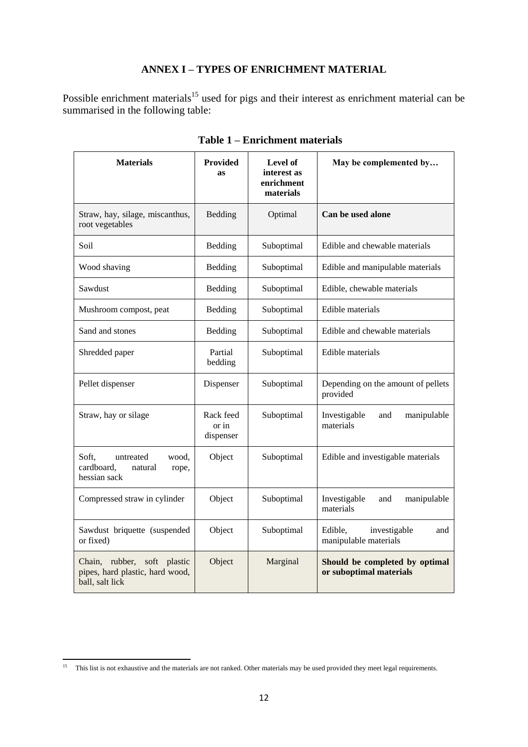### **ANNEX I – TYPES OF ENRICHMENT MATERIAL**

Possible enrichment materials<sup>15</sup> used for pigs and their interest as enrichment material can be summarised in the following table:

| <b>Materials</b>                                                                     | <b>Provided</b><br>as           | Level of<br>interest as<br>enrichment<br>materials | May be complemented by                                    |
|--------------------------------------------------------------------------------------|---------------------------------|----------------------------------------------------|-----------------------------------------------------------|
| Straw, hay, silage, miscanthus,<br>root vegetables                                   | Bedding                         | Optimal                                            | Can be used alone                                         |
| Soil                                                                                 | Bedding                         | Suboptimal                                         | Edible and chewable materials                             |
| Wood shaving                                                                         | Bedding                         | Suboptimal                                         | Edible and manipulable materials                          |
| Sawdust                                                                              | Bedding                         | Suboptimal                                         | Edible, chewable materials                                |
| Mushroom compost, peat                                                               | Bedding                         | Suboptimal                                         | Edible materials                                          |
| Sand and stones                                                                      | Bedding                         | Suboptimal                                         | Edible and chewable materials                             |
| Shredded paper                                                                       | Partial<br>bedding              | Suboptimal                                         | Edible materials                                          |
| Pellet dispenser                                                                     | Dispenser                       | Suboptimal                                         | Depending on the amount of pellets<br>provided            |
| Straw, hay or silage                                                                 | Rack feed<br>or in<br>dispenser | Suboptimal                                         | Investigable<br>and<br>manipulable<br>materials           |
| Soft.<br>untreated<br>wood,<br>cardboard,<br>natural<br>rope,<br>hessian sack        | Object                          | Suboptimal                                         | Edible and investigable materials                         |
| Compressed straw in cylinder                                                         | Object                          | Suboptimal                                         | Investigable<br>and<br>manipulable<br>materials           |
| Sawdust briquette (suspended<br>or fixed)                                            | Object                          | Suboptimal                                         | Edible,<br>investigable<br>and<br>manipulable materials   |
| Chain, rubber,<br>soft plastic<br>pipes, hard plastic, hard wood,<br>ball, salt lick | Object                          | Marginal                                           | Should be completed by optimal<br>or suboptimal materials |

|  | Table 1 – Enrichment materials |  |
|--|--------------------------------|--|
|--|--------------------------------|--|

1

<sup>&</sup>lt;sup>15</sup> This list is not exhaustive and the materials are not ranked. Other materials may be used provided they meet legal requirements.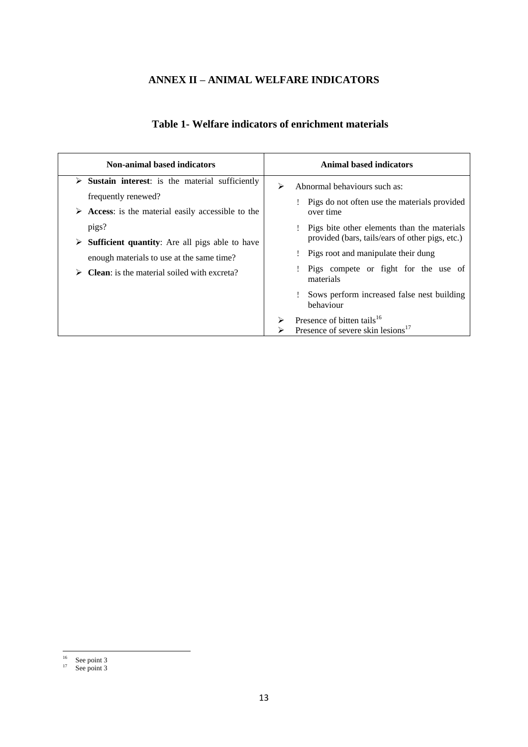## **ANNEX II – ANIMAL WELFARE INDICATORS**

| <b>Non-animal based indicators</b>                                                                                                                                                                                                                                                                                                     | <b>Animal based indicators</b>                                                                                                                                                                                                                                                                                                                                                                                                                          |
|----------------------------------------------------------------------------------------------------------------------------------------------------------------------------------------------------------------------------------------------------------------------------------------------------------------------------------------|---------------------------------------------------------------------------------------------------------------------------------------------------------------------------------------------------------------------------------------------------------------------------------------------------------------------------------------------------------------------------------------------------------------------------------------------------------|
| $\triangleright$ Sustain interest: is the material sufficiently<br>frequently renewed?<br>$\triangleright$ Access: is the material easily accessible to the<br>pigs?<br><b>Sufficient quantity:</b> Are all pigs able to have<br>➤<br>enough materials to use at the same time?<br><b>Clean</b> : is the material soiled with excreta? | Abnormal behaviours such as:<br>⋗<br>Pigs do not often use the materials provided<br>over time<br>Pigs bite other elements than the materials<br>provided (bars, tails/ears of other pigs, etc.)<br>Pigs root and manipulate their dung<br>Pigs compete or fight for the use of<br>materials<br>Sows perform increased false nest building<br>behaviour<br>Presence of bitten tails <sup>16</sup><br>⋗<br>Presence of severe skin lesions <sup>17</sup> |

**<sup>.</sup>** <sup>16</sup> See point 3 17 See point 3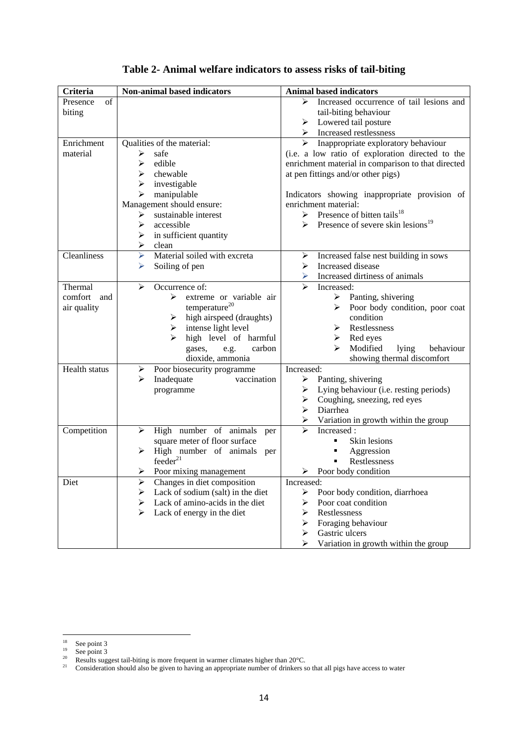| Criteria       | Non-animal based indicators                           | <b>Animal based indicators</b>                     |
|----------------|-------------------------------------------------------|----------------------------------------------------|
| of<br>Presence |                                                       | Increased occurrence of tail lesions and<br>➤      |
| biting         |                                                       | tail-biting behaviour                              |
|                |                                                       | $\triangleright$ Lowered tail posture              |
|                |                                                       | Increased restlessness<br>➤                        |
| Enrichment     | Qualities of the material:                            | Inappropriate exploratory behaviour<br>➤           |
| material       | safe<br>➤                                             | (i.e. a low ratio of exploration directed to the   |
|                | edible<br>⋗                                           | enrichment material in comparison to that directed |
|                | chewable<br>⋗                                         | at pen fittings and/or other pigs)                 |
|                | investigable<br>➤                                     |                                                    |
|                | manipulable<br>⋗                                      | Indicators showing inappropriate provision of      |
|                | Management should ensure:                             | enrichment material:                               |
|                | sustainable interest<br>➤                             | Presence of bitten tails <sup>18</sup><br>≻        |
|                | accessible                                            | Presence of severe skin lesions <sup>19</sup>      |
|                | in sufficient quantity<br>➤                           |                                                    |
|                | ➤<br>clean                                            |                                                    |
| Cleanliness    | Material soiled with excreta<br>$\blacktriangleright$ | Increased false nest building in sows<br>➤         |
|                | Soiling of pen<br>➤                                   | Increased disease<br>➤                             |
|                |                                                       | Increased dirtiness of animals<br>➤                |
| Thermal        | ↘<br>Occurrence of:                                   | ➤<br>Increased:                                    |
| comfort<br>and | extreme or variable air<br>⋗                          | Panting, shivering<br>➤                            |
| air quality    | temperature $^{20}$                                   | Poor body condition, poor coat<br>➤                |
|                | high airspeed (draughts)                              | condition                                          |
|                | intense light level<br>➤                              | Restlessness<br>⋗                                  |
|                | high level of harmful                                 | Red eyes<br>➤                                      |
|                | carbon<br>gases,                                      | Modified<br>lying<br>behaviour                     |
|                | e.g.<br>dioxide, ammonia                              | showing thermal discomfort                         |
| Health status  | Poor biosecurity programme<br>➤                       | Increased:                                         |
|                | vaccination<br>➤<br>Inadequate                        | Panting, shivering<br>➤                            |
|                | programme                                             | Lying behaviour (i.e. resting periods)<br>➤        |
|                |                                                       | Coughing, sneezing, red eyes                       |
|                |                                                       | ≻<br>Diarrhea                                      |
|                |                                                       | Variation in growth within the group<br>➤          |
| Competition    | High number of animals<br>➤<br>per                    | ↘<br>Increased:                                    |
|                | square meter of floor surface                         | Skin lesions<br>٠                                  |
|                | High number of animals<br>➤<br>per                    | Aggression<br>٠                                    |
|                | feeder <sup>21</sup>                                  | <b>Restlessness</b>                                |
|                | Poor mixing management<br>➤                           | Poor body condition<br>≻                           |
| Diet           | Changes in diet composition<br>➤                      | Increased:                                         |
|                | Lack of sodium (salt) in the diet<br>➤                | ➤<br>Poor body condition, diarrhoea                |
|                | Lack of amino-acids in the diet<br>➤                  | Poor coat condition<br>➤                           |
|                | Lack of energy in the diet<br>⋗                       | Restlessness<br>➤                                  |
|                |                                                       | Foraging behaviour<br>➤                            |
|                |                                                       | Gastric ulcers<br>➤                                |
|                |                                                       | Variation in growth within the group<br>➤          |

## **Table 2- Animal welfare indicators to assess risks of tail-biting**

 $18\,$  $\frac{18}{19}$  See point 3

See point 3

<sup>&</sup>lt;sup>20</sup> Results suggest tail-biting is more frequent in warmer climates higher than  $20^{\circ}$ C.

 $21$  Consideration should also be given to having an appropriate number of drinkers so that all pigs have access to water